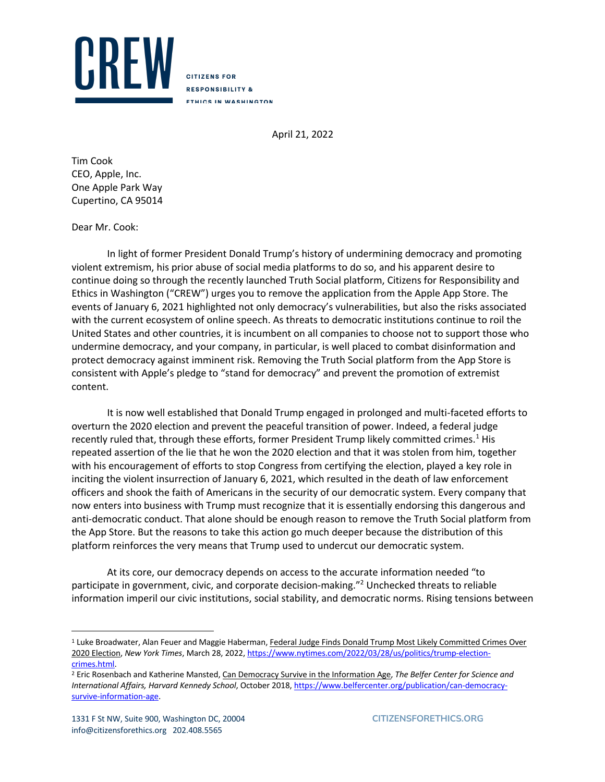

**CITIZENS FOR RESPONSIBILITY & ETHICS IN WASHINGTON** 

April 21, 2022

Tim Cook CEO, Apple, Inc. One Apple Park Way Cupertino, CA 95014

Dear Mr. Cook:

In light of former President Donald Trump's history of undermining democracy and promoting violent extremism, his prior abuse of social media platforms to do so, and his apparent desire to continue doing so through the recently launched Truth Social platform, Citizens for Responsibility and Ethics in Washington ("CREW") urges you to remove the application from the Apple App Store. The events of January 6, 2021 highlighted not only democracy's vulnerabilities, but also the risks associated with the current ecosystem of online speech. As threats to democratic institutions continue to roil the United States and other countries, it is incumbent on all companies to choose not to support those who undermine democracy, and your company, in particular, is well placed to combat disinformation and protect democracy against imminent risk. Removing the Truth Social platform from the App Store is consistent with Apple's pledge to "stand for democracy" and prevent the promotion of extremist content.

It is now well established that Donald Trump engaged in prolonged and multi-faceted efforts to overturn the 2020 election and prevent the peaceful transition of power. Indeed, a federal judge recently ruled that, through these efforts, former President Trump likely committed crimes.<sup>1</sup> His repeated assertion of the lie that he won the 2020 election and that it was stolen from him, together with his encouragement of efforts to stop Congress from certifying the election, played a key role in inciting the violent insurrection of January 6, 2021, which resulted in the death of law enforcement officers and shook the faith of Americans in the security of our democratic system. Every company that now enters into business with Trump must recognize that it is essentially endorsing this dangerous and anti-democratic conduct. That alone should be enough reason to remove the Truth Social platform from the App Store. But the reasons to take this action go much deeper because the distribution of this platform reinforces the very means that Trump used to undercut our democratic system.

At its core, our democracy depends on access to the accurate information needed "to participate in government, civic, and corporate decision-making."2 Unchecked threats to reliable information imperil our civic institutions, social stability, and democratic norms. Rising tensions between

<sup>&</sup>lt;sup>1</sup> Luke Broadwater, Alan Feuer and Maggie Haberman, Federal Judge Finds Donald Trump Most Likely Committed Crimes Over 2020 Election, *New York Times*, March 28, 2022, https://www.nytimes.com/2022/03/28/us/politics/trump-electioncrimes.html. 2 Eric Rosenbach and Katherine Mansted, Can Democracy Survive in the Information Age, *The Belfer Center for Science and* 

*International Affairs, Harvard Kennedy School*, October 2018, https://www.belfercenter.org/publication/can-democracysurvive-information-age.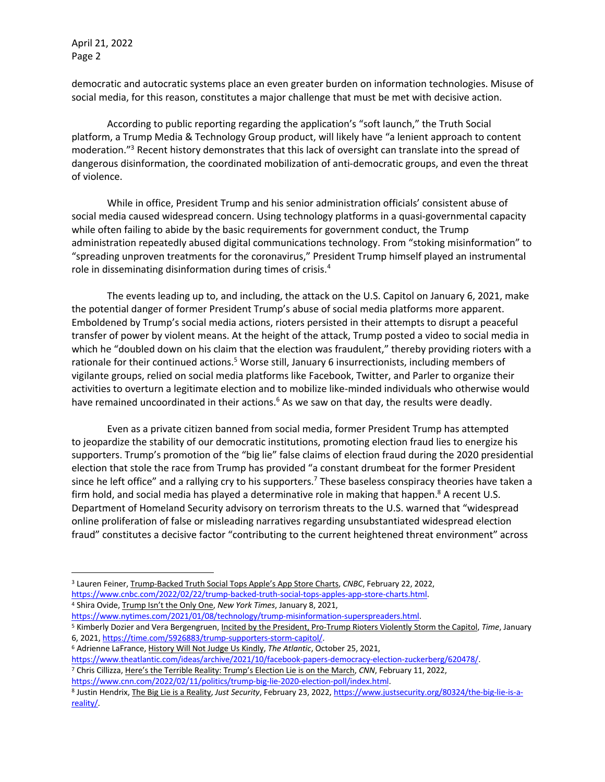April 21, 2022 Page 2

democratic and autocratic systems place an even greater burden on information technologies. Misuse of social media, for this reason, constitutes a major challenge that must be met with decisive action.

According to public reporting regarding the application's "soft launch," the Truth Social platform, a Trump Media & Technology Group product, will likely have "a lenient approach to content moderation."3 Recent history demonstrates that this lack of oversight can translate into the spread of dangerous disinformation, the coordinated mobilization of anti-democratic groups, and even the threat of violence.

While in office, President Trump and his senior administration officials' consistent abuse of social media caused widespread concern. Using technology platforms in a quasi-governmental capacity while often failing to abide by the basic requirements for government conduct, the Trump administration repeatedly abused digital communications technology. From "stoking misinformation" to "spreading unproven treatments for the coronavirus," President Trump himself played an instrumental role in disseminating disinformation during times of crisis.4

The events leading up to, and including, the attack on the U.S. Capitol on January 6, 2021, make the potential danger of former President Trump's abuse of social media platforms more apparent. Emboldened by Trump's social media actions, rioters persisted in their attempts to disrupt a peaceful transfer of power by violent means. At the height of the attack, Trump posted a video to social media in which he "doubled down on his claim that the election was fraudulent," thereby providing rioters with a rationale for their continued actions.<sup>5</sup> Worse still, January 6 insurrectionists, including members of vigilante groups, relied on social media platforms like Facebook, Twitter, and Parler to organize their activities to overturn a legitimate election and to mobilize like-minded individuals who otherwise would have remained uncoordinated in their actions.<sup>6</sup> As we saw on that day, the results were deadly.

Even as a private citizen banned from social media, former President Trump has attempted to jeopardize the stability of our democratic institutions, promoting election fraud lies to energize his supporters. Trump's promotion of the "big lie" false claims of election fraud during the 2020 presidential election that stole the race from Trump has provided "a constant drumbeat for the former President since he left office" and a rallying cry to his supporters.<sup>7</sup> These baseless conspiracy theories have taken a firm hold, and social media has played a determinative role in making that happen.<sup>8</sup> A recent U.S. Department of Homeland Security advisory on terrorism threats to the U.S. warned that "widespread online proliferation of false or misleading narratives regarding unsubstantiated widespread election fraud" constitutes a decisive factor "contributing to the current heightened threat environment" across

<sup>3</sup> Lauren Feiner, Trump-Backed Truth Social Tops Apple's App Store Charts, *CNBC*, February 22, 2022, https://www.cnbc.com/2022/02/22/trump-backed-truth-social-tops-apples-app-store-charts.html. <sup>4</sup> Shira Ovide, Trump Isn't the Only One, *New York Times*, January 8, 2021,

https://www.nytimes.com/2021/01/08/technology/trump-misinformation-superspreaders.html.<br><sup>5</sup> Kimberly Dozier and Vera Bergengruen, <u>Incited by the President, Pro-Trump Rioters Violently Storm the Capitol</u>, *Time*, January 6, 2021, https://time.com/5926883/trump-supporters-storm-capitol/.

<sup>6</sup> Adrienne LaFrance, History Will Not Judge Us Kindly, *The Atlantic*, October 25, 2021,

https://www.theatlantic.com/ideas/archive/2021/10/facebook-papers-democracy-election-zuckerberg/620478/.

<sup>7</sup> Chris Cillizza, Here's the Terrible Reality: Trump's Election Lie is on the March, *CNN*, February 11, 2022,

https://www.cnn.com/2022/02/11/politics/trump-big-lie-2020-election-poll/index.html.

<sup>8</sup> Justin Hendrix, The Big Lie is a Reality, *Just Security*, February 23, 2022, https://www.justsecurity.org/80324/the-big-lie-is-areality/.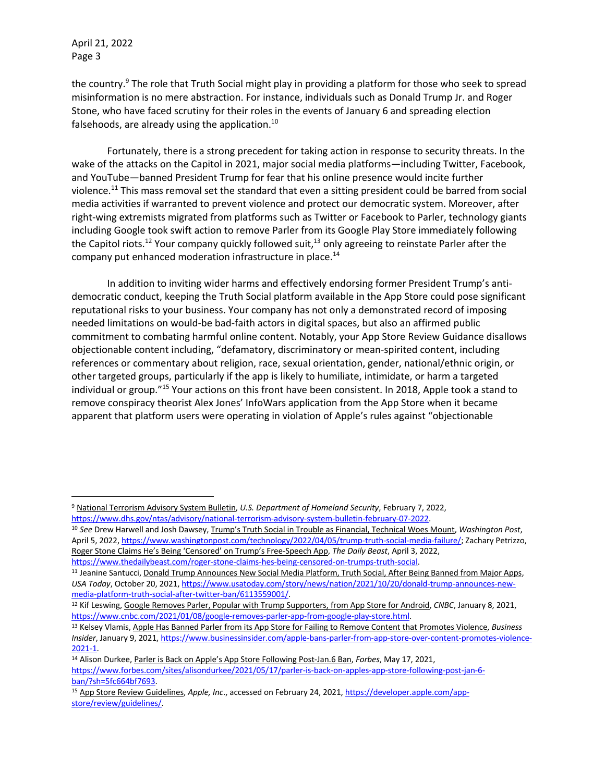April 21, 2022 Page 3

the country.<sup>9</sup> The role that Truth Social might play in providing a platform for those who seek to spread misinformation is no mere abstraction. For instance, individuals such as Donald Trump Jr. and Roger Stone, who have faced scrutiny for their roles in the events of January 6 and spreading election falsehoods, are already using the application.<sup>10</sup>

Fortunately, there is a strong precedent for taking action in response to security threats. In the wake of the attacks on the Capitol in 2021, major social media platforms—including Twitter, Facebook, and YouTube—banned President Trump for fear that his online presence would incite further violence.11 This mass removal set the standard that even a sitting president could be barred from social media activities if warranted to prevent violence and protect our democratic system. Moreover, after right-wing extremists migrated from platforms such as Twitter or Facebook to Parler, technology giants including Google took swift action to remove Parler from its Google Play Store immediately following the Capitol riots.<sup>12</sup> Your company quickly followed suit,<sup>13</sup> only agreeing to reinstate Parler after the company put enhanced moderation infrastructure in place.<sup>14</sup>

In addition to inviting wider harms and effectively endorsing former President Trump's antidemocratic conduct, keeping the Truth Social platform available in the App Store could pose significant reputational risks to your business. Your company has not only a demonstrated record of imposing needed limitations on would-be bad-faith actors in digital spaces, but also an affirmed public commitment to combating harmful online content. Notably, your App Store Review Guidance disallows objectionable content including, "defamatory, discriminatory or mean-spirited content, including references or commentary about religion, race, sexual orientation, gender, national/ethnic origin, or other targeted groups, particularly if the app is likely to humiliate, intimidate, or harm a targeted individual or group."15 Your actions on this front have been consistent. In 2018, Apple took a stand to remove conspiracy theorist Alex Jones' InfoWars application from the App Store when it became apparent that platform users were operating in violation of Apple's rules against "objectionable

<sup>9</sup> National Terrorism Advisory System Bulletin, *U.S. Department of Homeland Security*, February 7, 2022,

https://www.dhs.gov/ntas/advisory/national-terrorism-advisory-system-bulletin-february-07-2022.<br><sup>10</sup> See Drew Harwell and Josh Dawsey, Trump's Truth Social in Trouble as Financial, Technical Woes Mount, Washington Post, April 5, 2022, https://www.washingtonpost.com/technology/2022/04/05/trump-truth-social-media-failure/; Zachary Petrizzo, Roger Stone Claims He's Being 'Censored' on Trump's Free-Speech App, *The Daily Beast*, April 3, 2022, https://www.thedailybeast.com/roger-stone-claims-hes-being-censored-on-trumps-truth-social.

<sup>11</sup> Jeanine Santucci, Donald Trump Announces New Social Media Platform, Truth Social, After Being Banned from Major Apps, *USA Today*, October 20, 2021, https://www.usatoday.com/story/news/nation/2021/10/20/donald-trump-announces-newmedia-platform-truth-social-after-twitter-ban/6113559001/.

<sup>12</sup> Kif Leswing, Google Removes Parler, Popular with Trump Supporters, from App Store for Android, *CNBC*, January 8, 2021, https://www.cnbc.com/2021/01/08/google-removes-parler-app-from-google-play-store.html.

<sup>13</sup> Kelsey Vlamis, Apple Has Banned Parler from its App Store for Failing to Remove Content that Promotes Violence, *Business Insider*, January 9, 2021, https://www.businessinsider.com/apple-bans-parler-from-app-store-over-content-promotes-violence-2021-1.

<sup>14</sup> Alison Durkee, Parler is Back on Apple's App Store Following Post-Jan.6 Ban, *Forbes*, May 17, 2021, https://www.forbes.com/sites/alisondurkee/2021/05/17/parler-is-back-on-apples-app-store-following-post-jan-6 ban/?sh=5fc664bf7693.

<sup>15</sup> App Store Review Guidelines, *Apple, Inc*., accessed on February 24, 2021, https://developer.apple.com/appstore/review/guidelines/.